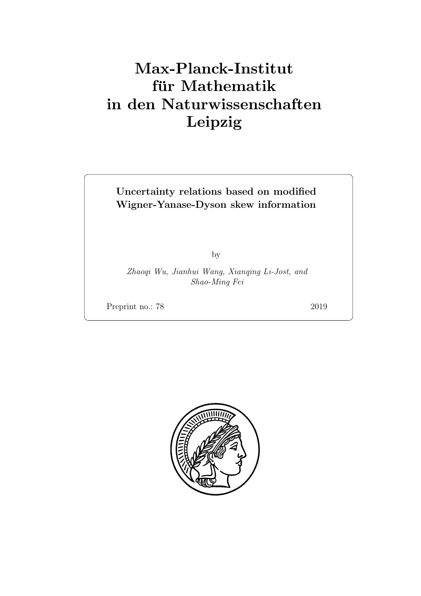# Max-Planck-Institut für Mathematik in den Naturwissenschaften Leipzig

### Uncertainty relations based on modified Wigner-Yanase-Dyson skew information

by

Zhaoqi Wu, Jianhui Wang, Xianqing Li-Jost, and Shao-Ming Fei

Preprint no.: 78 2019

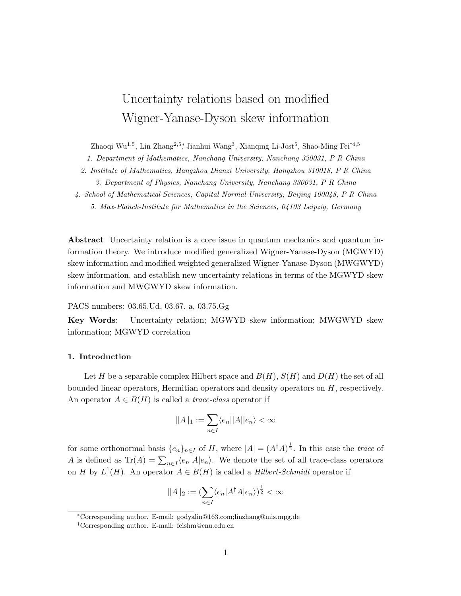## Uncertainty relations based on modified Wigner-Yanase-Dyson skew information

Zhaoqi Wu<sup>1,5</sup>, Lin Zhang<sup>2,5</sup>\*, Jianhui Wang<sup>3</sup>, Xianqing Li-Jost<sup>5</sup>, Shao-Ming Fei<sup>†4,5</sup>

1. Department of Mathematics, Nanchang University, Nanchang 330031, P R China

2. Institute of Mathematics, Hangzhou Dianzi University, Hangzhou 310018, P R China

3. Department of Physics, Nanchang University, Nanchang 330031, P R China

4. School of Mathematical Sciences, Capital Normal University, Beijing 100048, P R China

5. Max-Planck-Institute for Mathematics in the Sciences, 04103 Leipzig, Germany

Abstract Uncertainty relation is a core issue in quantum mechanics and quantum information theory. We introduce modified generalized Wigner-Yanase-Dyson (MGWYD) skew information and modified weighted generalized Wigner-Yanase-Dyson (MWGWYD) skew information, and establish new uncertainty relations in terms of the MGWYD skew information and MWGWYD skew information.

PACS numbers: 03.65.Ud, 03.67.-a, 03.75.Gg

Key Words: Uncertainty relation; MGWYD skew information; MWGWYD skew information; MGWYD correlation

#### 1. Introduction

Let H be a separable complex Hilbert space and  $B(H)$ ,  $S(H)$  and  $D(H)$  the set of all bounded linear operators, Hermitian operators and density operators on H, respectively. An operator  $A \in B(H)$  is called a *trace-class* operator if

$$
||A||_1:=\sum_{n\in I}\langle e_n||A||e_n\rangle<\infty
$$

for some orthonormal basis  $\{e_n\}_{n\in I}$  of H, where  $|A| = (A^{\dagger}A)^{\frac{1}{2}}$ . In this case the *trace* of A is defined as  $\text{Tr}(A) = \sum_{n \in I} \langle e_n | A | e_n \rangle$ . We denote the set of all trace-class operators on H by  $L^1(H)$ . An operator  $A \in B(H)$  is called a Hilbert-Schmidt operator if

$$
||A||_2 := \left(\sum_{n \in I} \langle e_n | A^\dagger A | e_n \rangle\right)^{\frac{1}{2}} < \infty
$$

<sup>∗</sup>Corresponding author. E-mail: godyalin@163.com;linzhang@mis.mpg.de

<sup>†</sup>Corresponding author. E-mail: feishm@cnu.edu.cn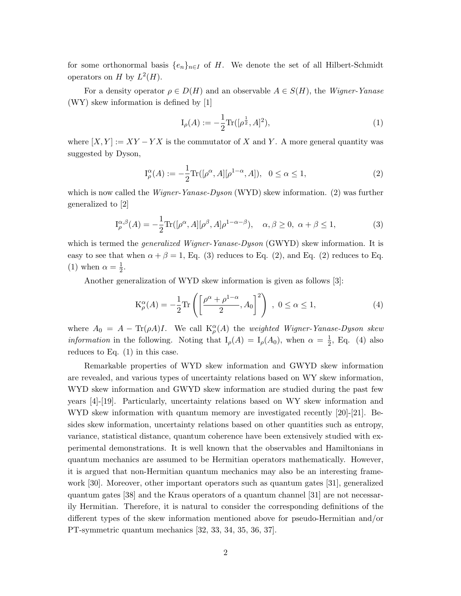for some orthonormal basis  ${e_n}_{n\in I}$  of H. We denote the set of all Hilbert-Schmidt operators on H by  $L^2(H)$ .

For a density operator  $\rho \in D(H)$  and an observable  $A \in S(H)$ , the Wigner-Yanase (WY) skew information is defined by [\[1\]](#page-14-0)

<span id="page-3-2"></span>
$$
I_{\rho}(A) := -\frac{1}{2} \text{Tr}([\rho^{\frac{1}{2}}, A]^2), \tag{1}
$$

where  $[X, Y] := XY - YX$  is the commutator of X and Y. A more general quantity was suggested by Dyson,

<span id="page-3-0"></span>
$$
I_{\rho}^{\alpha}(A) := -\frac{1}{2} \text{Tr}([\rho^{\alpha}, A][\rho^{1-\alpha}, A]), \ \ 0 \le \alpha \le 1,
$$
 (2)

which is now called the *Wigner-Yanase-Dyson* (WYD) skew information. [\(2\)](#page-3-0) was further generalized to [\[2\]](#page-15-0)

<span id="page-3-1"></span>
$$
I_{\rho}^{\alpha,\beta}(A) = -\frac{1}{2} \text{Tr}([\rho^{\alpha}, A][\rho^{\beta}, A]\rho^{1-\alpha-\beta}), \quad \alpha, \beta \ge 0, \ \alpha + \beta \le 1,
$$
 (3)

which is termed the *generalized Wigner-Yanase-Dyson* (GWYD) skew information. It is easy to see that when  $\alpha + \beta = 1$ , Eq. [\(3\)](#page-3-1) reduces to Eq. [\(2\)](#page-3-0), and Eq. (2) reduces to Eq. [\(1\)](#page-3-2) when  $\alpha = \frac{1}{2}$  $\frac{1}{2}$ .

Another generalization of WYD skew information is given as follows [\[3\]](#page-15-1):

<span id="page-3-3"></span>
$$
K_{\rho}^{\alpha}(A) = -\frac{1}{2} \text{Tr}\left(\left[\frac{\rho^{\alpha} + \rho^{1-\alpha}}{2}, A_0\right]^2\right) , 0 \le \alpha \le 1,
$$
 (4)

where  $A_0 = A - \text{Tr}(\rho A)I$ . We call  $K_\rho^{\alpha}(A)$  the *weighted Wigner-Yanase-Dyson skew information* in the following. Noting that  $I_{\rho}(A) = I_{\rho}(A_0)$ , when  $\alpha = \frac{1}{2}$  $\frac{1}{2}$ , Eq. [\(4\)](#page-3-3) also reduces to Eq. [\(1\)](#page-3-2) in this case.

Remarkable properties of WYD skew information and GWYD skew information are revealed, and various types of uncertainty relations based on WY skew information, WYD skew information and GWYD skew information are studied during the past few years [\[4\]](#page-15-2)-[\[19\]](#page-16-0). Particularly, uncertainty relations based on WY skew information and WYD skew information with quantum memory are investigated recently [\[20\]](#page-16-1)-[\[21\]](#page-16-2). Besides skew information, uncertainty relations based on other quantities such as entropy, variance, statistical distance, quantum coherence have been extensively studied with experimental demonstrations. It is well known that the observables and Hamiltonians in quantum mechanics are assumed to be Hermitian operators mathematically. However, it is argued that non-Hermitian quantum mechanics may also be an interesting framework [\[30\]](#page-16-3). Moreover, other important operators such as quantum gates [\[31\]](#page-16-4), generalized quantum gates [\[38\]](#page-17-0) and the Kraus operators of a quantum channel [\[31\]](#page-16-4) are not necessarily Hermitian. Therefore, it is natural to consider the corresponding definitions of the different types of the skew information mentioned above for pseudo-Hermitian and/or PT-symmetric quantum mechanics [\[32,](#page-17-1) [33,](#page-17-2) [34,](#page-17-3) [35,](#page-17-4) [36,](#page-17-5) [37\]](#page-17-6).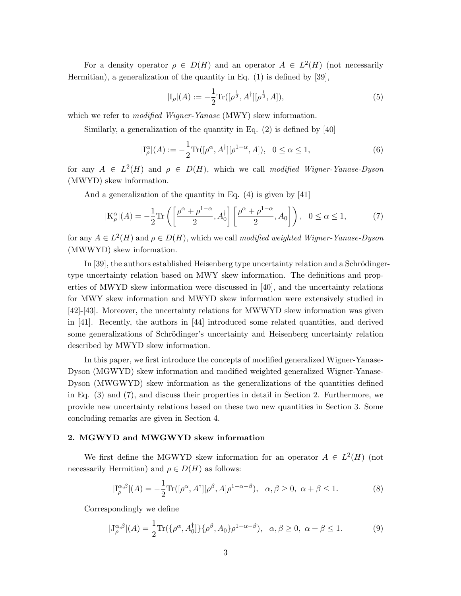For a density operator  $\rho \in D(H)$  and an operator  $A \in L^2(H)$  (not necessarily Hermitian), a generalization of the quantity in Eq. [\(1\)](#page-3-2) is defined by [\[39\]](#page-17-7),

$$
|I_{\rho}|(A) := -\frac{1}{2} \text{Tr}([\rho^{\frac{1}{2}}, A^{\dagger}][\rho^{\frac{1}{2}}, A]), \tag{5}
$$

which we refer to *modified Wigner-Yanase* (MWY) skew information.

Similarly, a generalization of the quantity in Eq.  $(2)$  is defined by [\[40\]](#page-17-8)

$$
|\mathcal{I}_{\rho}^{\alpha}|(A) := -\frac{1}{2} \text{Tr}([\rho^{\alpha}, A^{\dagger}][\rho^{1-\alpha}, A]), \ \ 0 \le \alpha \le 1,
$$
 (6)

for any  $A \in L^2(H)$  and  $\rho \in D(H)$ , which we call modified Wigner-Yanase-Dyson (MWYD) skew information.

And a generalization of the quantity in Eq. [\(4\)](#page-3-3) is given by [\[41\]](#page-17-9)

<span id="page-4-0"></span>
$$
|\mathcal{K}_{\rho}^{\alpha}|(A) = -\frac{1}{2}\text{Tr}\left(\left[\frac{\rho^{\alpha} + \rho^{1-\alpha}}{2}, A_{0}^{\dagger}\right] \left[\frac{\rho^{\alpha} + \rho^{1-\alpha}}{2}, A_{0}\right]\right), \quad 0 \le \alpha \le 1,
$$
 (7)

for any  $A \in L^2(H)$  and  $\rho \in D(H)$ , which we call modified weighted Wigner-Yanase-Dyson (MWWYD) skew information.

In  $[39]$ , the authors established Heisenberg type uncertainty relation and a Schrödingertype uncertainty relation based on MWY skew information. The definitions and properties of MWYD skew information were discussed in [\[40\]](#page-17-8), and the uncertainty relations for MWY skew information and MWYD skew information were extensively studied in [\[42\]](#page-17-10)-[\[43\]](#page-17-11). Moreover, the uncertainty relations for MWWYD skew information was given in [\[41\]](#page-17-9). Recently, the authors in [\[44\]](#page-17-12) introduced some related quantities, and derived some generalizations of Schrödinger's uncertainty and Heisenberg uncertainty relation described by MWYD skew information.

In this paper, we first introduce the concepts of modified generalized Wigner-Yanase-Dyson (MGWYD) skew information and modified weighted generalized Wigner-Yanase-Dyson (MWGWYD) skew information as the generalizations of the quantities defined in Eq. [\(3\)](#page-3-1) and [\(7\)](#page-4-0), and discuss their properties in detail in Section 2. Furthermore, we provide new uncertainty relations based on these two new quantities in Section 3. Some concluding remarks are given in Section 4.

#### 2. MGWYD and MWGWYD skew information

We first define the MGWYD skew information for an operator  $A \in L^2(H)$  (not necessarily Hermitian) and  $\rho \in D(H)$  as follows:

$$
|\mathcal{I}_{\rho}^{\alpha,\beta}|(A) = -\frac{1}{2}\text{Tr}([\rho^{\alpha}, A^{\dagger}][\rho^{\beta}, A]\rho^{1-\alpha-\beta}), \quad \alpha, \beta \ge 0, \ \alpha + \beta \le 1. \tag{8}
$$

Correspondingly we define

$$
|J_{\rho}^{\alpha,\beta}|(A) = \frac{1}{2} \text{Tr}(\{\rho^{\alpha}, A_0^{\dagger}\} \{\rho^{\beta}, A_0\} \rho^{1-\alpha-\beta}), \ \alpha, \beta \ge 0, \ \alpha + \beta \le 1. \tag{9}
$$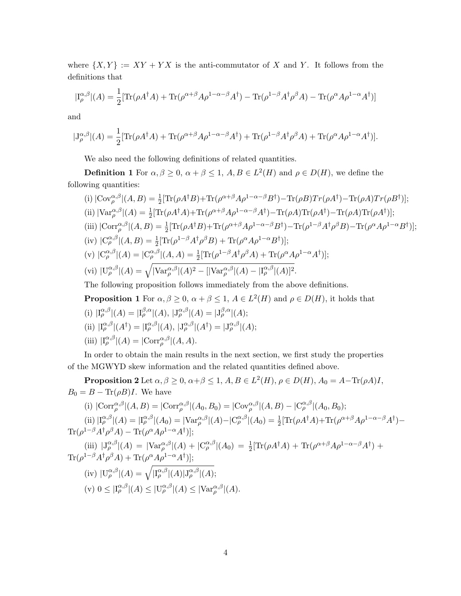where  $\{X, Y\} := XY + YX$  is the anti-commutator of X and Y. It follows from the definitions that

$$
|\mathcal{I}_{\rho}^{\alpha,\beta}|(A) = \frac{1}{2} [\text{Tr}(\rho A^{\dagger} A) + \text{Tr}(\rho^{\alpha+\beta} A \rho^{1-\alpha-\beta} A^{\dagger}) - \text{Tr}(\rho^{1-\beta} A^{\dagger} \rho^{\beta} A) - \text{Tr}(\rho^{\alpha} A \rho^{1-\alpha} A^{\dagger})]
$$

and

$$
|J_{\rho}^{\alpha,\beta}|(A) = \frac{1}{2} [\text{Tr}(\rho A^{\dagger} A) + \text{Tr}(\rho^{\alpha+\beta} A \rho^{1-\alpha-\beta} A^{\dagger}) + \text{Tr}(\rho^{1-\beta} A^{\dagger} \rho^{\beta} A) + \text{Tr}(\rho^{\alpha} A \rho^{1-\alpha} A^{\dagger})].
$$

We also need the following definitions of related quantities.

**Definition 1** For  $\alpha, \beta \geq 0$ ,  $\alpha + \beta \leq 1$ ,  $A, B \in L^2(H)$  and  $\rho \in D(H)$ , we define the following quantities:

(i) 
$$
|\text{Cov}_{\rho}^{\alpha,\beta}|(A,B) = \frac{1}{2} [\text{Tr}(\rho A^{\dagger} B) + \text{Tr}(\rho^{\alpha+\beta} A \rho^{1-\alpha-\beta} B^{\dagger}) - \text{Tr}(\rho B) \text{Tr}(\rho A^{\dagger}) - \text{Tr}(\rho A) \text{Tr}(\rho B^{\dagger})];
$$
\n(ii) 
$$
|\text{Var}_{\rho}^{\alpha,\beta}|(A) = \frac{1}{2} [\text{Tr}(\rho A^{\dagger} A) + \text{Tr}(\rho^{\alpha+\beta} A \rho^{1-\alpha-\beta} A^{\dagger}) - \text{Tr}(\rho A) \text{Tr}(\rho A^{\dagger}) - \text{Tr}(\rho A) \text{Tr}(\rho A^{\dagger})];
$$
\n(iii) 
$$
|\text{Corr}_{\rho}^{\alpha,\beta}|(A,B) = \frac{1}{2} [\text{Tr}(\rho A^{\dagger} B) + \text{Tr}(\rho^{\alpha+\beta} A \rho^{1-\alpha-\beta} B^{\dagger}) - \text{Tr}(\rho^{1-\beta} A^{\dagger} \rho^{\beta} B) - \text{Tr}(\rho^{\alpha} A \rho^{1-\alpha} B^{\dagger})];
$$
\n(iv) 
$$
|\text{C}_{\rho}^{\alpha,\beta}|(A,B) = \frac{1}{2} [\text{Tr}(\rho^{1-\beta} A^{\dagger} \rho^{\beta} B) + \text{Tr}(\rho^{\alpha} A \rho^{1-\alpha} B^{\dagger})];
$$
\n(v) 
$$
|\text{C}_{\rho}^{\alpha,\beta}|(A) = |\text{C}_{\rho}^{\alpha,\beta}|(A,A) = \frac{1}{2} [\text{Tr}(\rho^{1-\beta} A^{\dagger} \rho^{\beta} A) + \text{Tr}(\rho^{\alpha} A \rho^{1-\alpha} A^{\dagger})];
$$
\n(vi) 
$$
|\text{U}_{\rho}^{\alpha,\beta}|(A) = \sqrt{|\text{Var}_{\rho}^{\alpha,\beta}|(A)^2 - [|\text{Var}_{\rho}^{\alpha,\beta}|(A) - |\text{I}_{\rho}^{\alpha,\beta}|(A)|^2}.
$$
\nThe following proposition follows immediately from the above definitions.

**Proposition 1** For  $\alpha, \beta \geq 0$ ,  $\alpha + \beta \leq 1$ ,  $A \in L^2(H)$  and  $\rho \in D(H)$ , it holds that (i)  $\text{I}_{\rho}^{\alpha,\beta} |(A) = \text{I}_{\rho}^{\beta,\alpha} |(A), \text{I}_{\rho}^{\alpha,\beta} |(A) = \text{I}_{\rho}^{\beta,\alpha} |(A);$ (ii)  $|I_{\rho}^{\alpha,\beta}|(A^{\dagger})=|I_{\rho}^{\alpha,\beta}|(A), |J_{\rho}^{\alpha,\beta}|(A^{\dagger})=|J_{\rho}^{\alpha,\beta}|(A);$ 

(iii) 
$$
|\mathcal{I}_{\rho}^{\alpha,\beta}|(A) = |\text{Corr}_{\rho}^{\alpha,\beta}|(A,A).
$$

In order to obtain the main results in the next section, we first study the properties of the MGWYD skew information and the related quantities defined above.

**Proposition 2** Let  $\alpha, \beta \ge 0$ ,  $\alpha + \beta \le 1$ ,  $A, B \in L^2(H)$ ,  $\rho \in D(H)$ ,  $A_0 = A - \text{Tr}(\rho A)I$ ,  $B_0 = B - \text{Tr}(\rho B)I$ . We have

(i) 
$$
|\text{Corr}_{\rho}^{\alpha,\beta}|(A,B)| = |\text{Corr}_{\rho}^{\alpha,\beta}|(A_0,B_0)| = |\text{Cov}_{\rho}^{\alpha,\beta}|(A,B) - |\text{C}_{\rho}^{\alpha,\beta}|(A_0,B_0);
$$

(ii)  $|\mathcal{I}_{\rho}^{\alpha,\beta}|(A) = |\mathcal{I}_{\rho}^{\alpha,\beta}|(A_0) = |\text{Var}_{\rho}^{\alpha,\beta}|(A) - |\mathcal{C}_{\rho}^{\alpha,\beta}|(A_0) = \frac{1}{2} [\text{Tr}(\rho A^{\dagger} A) + \text{Tr}(\rho^{\alpha+\beta} A \rho^{1-\alpha-\beta} A^{\dagger}) \text{Tr}(\rho^{1-\beta}A^{\dagger}\rho^{\beta}A)-\text{Tr}(\rho^{\alpha}A\rho^{1-\alpha}A^{\dagger})];$ 

$$
\begin{aligned}\n\text{(iii)} \ |J_{\rho}^{\alpha,\beta}|(A) &= |\text{Var}_{\rho}^{\alpha,\beta}|(A) + |C_{\rho}^{\alpha,\beta}|(A_0) = \frac{1}{2} [\text{Tr}(\rho A^{\dagger} A) + \text{Tr}(\rho^{\alpha+\beta} A \rho^{1-\alpha-\beta} A^{\dagger}) + \text{Tr}(\rho^{1-\beta} A^{\dagger} \rho^{\beta} A) + \text{Tr}(\rho^{\alpha} A \rho^{1-\alpha} A^{\dagger})]; \\
\text{(iv)} \ |U_{\rho}^{\alpha,\beta}|(A) &= \sqrt{|\text{I}_{\rho}^{\alpha,\beta}|(A)| J_{\rho}^{\alpha,\beta}|(A)}; \\
\text{(v)} \ 0 &\leq |\text{I}_{\rho}^{\alpha,\beta}|(A) \leq |\text{U}_{\rho}^{\alpha,\beta}|(A) \leq |\text{Var}_{\rho}^{\alpha,\beta}|(A).\n\end{aligned}
$$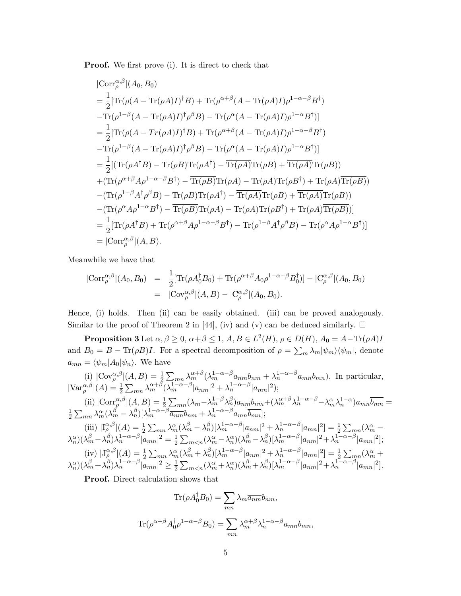**Proof.** We first prove (i). It is direct to check that

$$
|\text{Corr}_{\rho}^{\alpha,\beta}|(A_0, B_0)
$$
\n
$$
= \frac{1}{2} [\text{Tr}(\rho(A - \text{Tr}(\rho A)I)^{\dagger}B) + \text{Tr}(\rho^{\alpha+\beta}(A - \text{Tr}(\rho A)I)\rho^{1-\alpha-\beta}B^{\dagger})
$$
\n
$$
-\text{Tr}(\rho^{1-\beta}(A - \text{Tr}(\rho A)I)^{\dagger}\rho^{\beta}B) - \text{Tr}(\rho^{\alpha}(A - \text{Tr}(\rho A)I)\rho^{1-\alpha}B^{\dagger})]
$$
\n
$$
= \frac{1}{2} [\text{Tr}(\rho(A - \text{Tr}(\rho A)I)^{\dagger}B) + \text{Tr}(\rho^{\alpha+\beta}(A - \text{Tr}(\rho A)I)\rho^{1-\alpha-\beta}B^{\dagger})
$$
\n
$$
-\text{Tr}(\rho^{1-\beta}(A - \text{Tr}(\rho A)I)^{\dagger}\rho^{\beta}B) - \text{Tr}(\rho^{\alpha}(A - \text{Tr}(\rho A)I)\rho^{1-\alpha}B^{\dagger})]
$$
\n
$$
= \frac{1}{2} [(\text{Tr}(\rho A^{\dagger}B) - \text{Tr}(\rho B)\text{Tr}(\rho A^{\dagger}) - \text{Tr}(\rho A)\text{Tr}(\rho B) + \text{Tr}(\rho A)\text{Tr}(\rho B))
$$
\n
$$
+(\text{Tr}(\rho^{\alpha+\beta}A\rho^{1-\alpha-\beta}B^{\dagger}) - \text{Tr}(\rho B)\text{Tr}(\rho A) - \text{Tr}(\rho A)\text{Tr}(\rho B^{\dagger}) + \text{Tr}(\rho A)\text{Tr}(\rho B))
$$
\n
$$
-(\text{Tr}(\rho^{1-\beta}A^{\dagger}\rho^{\beta}B) - \text{Tr}(\rho B)\text{Tr}(\rho A^{\dagger}) - \text{Tr}(\rho A)\text{Tr}(\rho B) + \text{Tr}(\rho A)\text{Tr}(\rho B))
$$
\n
$$
-(\text{Tr}(\rho^{\alpha}A\rho^{1-\alpha}B^{\dagger}) - \text{Tr}(\rho B)\text{Tr}(\rho A) - \text{Tr}(\rho A)\text{Tr}(\rho B^{\dagger}) + \text{Tr}(\rho A)\text{Tr}(\rho B))]
$$
\n
$$
= \frac{1}{2} [\text{Tr}
$$

Meanwhile we have that

$$
|\text{Corr}_{\rho}^{\alpha,\beta}|(A_0, B_0) = \frac{1}{2}[\text{Tr}(\rho A_0^{\dagger} B_0) + \text{Tr}(\rho^{\alpha+\beta} A_0 \rho^{1-\alpha-\beta} B_0^{\dagger})] - |C_{\rho}^{\alpha,\beta}|(A_0, B_0)
$$
  
=  $|Cov_{\rho}^{\alpha,\beta}|(A, B) - |C_{\rho}^{\alpha,\beta}|(A_0, B_0).$ 

Hence, (i) holds. Then (ii) can be easily obtained. (iii) can be proved analogously. Similar to the proof of Theorem 2 in [\[44\]](#page-17-12), (iv) and (v) can be deduced similarly.  $\Box$ 

**Proposition 3** Let  $\alpha, \beta \ge 0$ ,  $\alpha + \beta \le 1$ ,  $A, B \in L^2(H)$ ,  $\rho \in D(H)$ ,  $A_0 = A - \text{Tr}(\rho A)I$ and  $B_0 = B - \text{Tr}(\rho B)I$ . For a spectral decomposition of  $\rho = \sum_m \lambda_m |\psi_m\rangle\langle\psi_m|$ , denote  $a_{mn} = \langle \psi_m | A_0 | \psi_n \rangle$ . We have

(i) 
$$
|\text{Cov}_{\rho}^{\alpha,\beta}|(A,B) = \frac{1}{2} \sum_{mn} \lambda_m^{\alpha+\beta} (\lambda_m^{1-\alpha-\beta} \overline{a_{nm}} b_{nm} + \lambda_n^{1-\alpha-\beta} a_{mn} \overline{b_{mn}}).
$$
 In particular,  
\n $|\text{Var}_{\rho}^{\alpha,\beta}|(A) = \frac{1}{2} \sum_{mn} \lambda_m^{\alpha+\beta} (\lambda_m^{1-\alpha-\beta} |a_{nm}|^2 + \lambda_n^{1-\alpha-\beta} |a_{mn}|^2);$   
\n(ii)  $|\text{Corr}_{\rho}^{\alpha,\beta}|(A,B) = \frac{1}{2} \sum_{mn} (\lambda_m - \lambda_m^{1-\beta} \lambda_n^{\beta}) \overline{a_{nm}} b_{nm} + (\lambda_m^{\alpha+\beta} \lambda_n^{1-\alpha-\beta} - \lambda_m^{\alpha} \lambda_n^{1-\alpha}) a_{mn} \overline{b_{mn}} =$   
\n $\frac{1}{2} \sum_{mn} \lambda_m^{\alpha} (\lambda_m^{\beta} - \lambda_n^{\beta}) [\lambda_m^{1-\alpha-\beta} \overline{a_{nm}} b_{nm} + \lambda_n^{1-\alpha-\beta} a_{mn} \overline{b_{mn}}];$   
\n(iii)  $|\text{I}_{\rho}^{\alpha,\beta}|(A) = \frac{1}{2} \sum_{mn} \lambda_m^{\alpha} (\lambda_m^{\beta} - \lambda_n^{\beta}) [\lambda_m^{1-\alpha-\beta} |a_{nm}|^2 + \lambda_n^{1-\alpha-\beta} |a_{mn}|^2] = \frac{1}{2} \sum_{mn} (\lambda_m^{\alpha} - \lambda_n^{\alpha}) (\lambda_m^{\beta} - \lambda_n^{\beta}) \lambda_n^{1-\alpha-\beta} |a_{mn}|^2 + \lambda_n^{1-\alpha-\beta} |a_{mn}|^2 + \lambda_n^{1-\alpha-\beta} |a_{mn}|^2];$   
\n(iv)  $|\text{J}_{\rho}^{\alpha,\beta}|(A) = \frac{1}{2} \sum_{mn} \lambda_m^{\alpha} (\lambda_m^{\beta} + \lambda_n^{\beta}) [\lambda_m^{1-\alpha-\beta} |a_{nm}|^2 + \lambda_n^{1-\alpha-\beta} |a_{mn}|^2] = \frac{1}{2} \sum_{mn} (\lambda_m^{\alpha} + \lambda_n^{\alpha}) (\lambda_m^{\beta} + \lambda_n^{\beta}) \lambda_n^{1-\alpha-\beta} |a_{mn}|^2 = \frac{1}{2} \sum_{mn} (\lambda_m^{\alpha}$ 

Proof. Direct calculation shows that

$$
\text{Tr}(\rho A_0^{\dagger} B_0) = \sum_{mn} \lambda_m \overline{a_{nm}} b_{nm},
$$

$$
\text{Tr}(\rho^{\alpha+\beta} A_0^{\dagger} \rho^{1-\alpha-\beta} B_0) = \sum_{mn} \lambda_m^{\alpha+\beta} \lambda_n^{1-\alpha-\beta} a_{mn} \overline{b_{mn}},
$$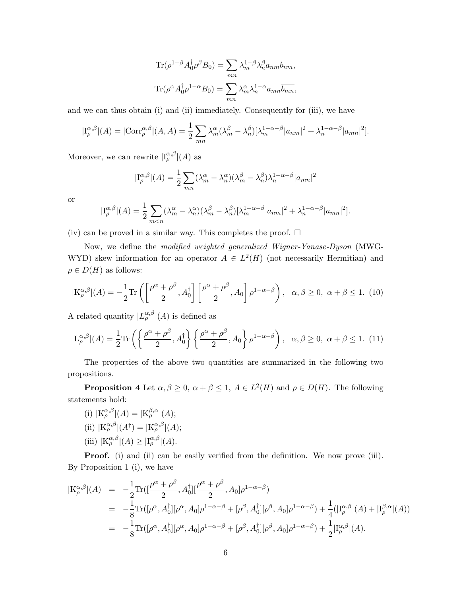$$
\text{Tr}(\rho^{1-\beta} A_0^{\dagger} \rho^{\beta} B_0) = \sum_{mn} \lambda_m^{1-\beta} \lambda_n^{\beta} \overline{a_{nm}} b_{nm},
$$
  

$$
\text{Tr}(\rho^{\alpha} A_0^{\dagger} \rho^{1-\alpha} B_0) = \sum_{mn} \lambda_m^{\alpha} \lambda_n^{1-\alpha} a_{mn} \overline{b_{mn}},
$$

and we can thus obtain (i) and (ii) immediately. Consequently for (iii), we have

$$
|\mathcal{I}_{\rho}^{\alpha,\beta}|(A) = |\text{Corr}_{\rho}^{\alpha,\beta}|(A,A) = \frac{1}{2} \sum_{mn} \lambda_m^{\alpha} (\lambda_m^{\beta} - \lambda_n^{\beta}) [\lambda_m^{1-\alpha-\beta}|a_{nm}|^2 + \lambda_n^{1-\alpha-\beta}|a_{mn}|^2].
$$

Moreover, we can rewrite  $|I_{\rho}^{\alpha,\beta}|(A)$  as

$$
|\mathcal{I}_{\rho}^{\alpha,\beta}|(A) = \frac{1}{2} \sum_{mn} (\lambda_m^{\alpha} - \lambda_n^{\alpha})(\lambda_m^{\beta} - \lambda_n^{\beta})\lambda_n^{1-\alpha-\beta}|a_{mn}|^2
$$

or

$$
|\mathcal{I}_{\rho}^{\alpha,\beta}|(A) = \frac{1}{2} \sum_{m < n} (\lambda_m^{\alpha} - \lambda_n^{\alpha})(\lambda_m^{\beta} - \lambda_n^{\beta})[\lambda_m^{1-\alpha-\beta}|a_{nm}|^2 + \lambda_n^{1-\alpha-\beta}|a_{mn}|^2].
$$

(iv) can be proved in a similar way. This completes the proof.  $\Box$ 

Now, we define the modified weighted generalized Wigner-Yanase-Dyson (MWG-WYD) skew information for an operator  $A \in L^2(H)$  (not necessarily Hermitian) and  $\rho \in D(H)$  as follows:

$$
|\mathcal{K}_{\rho}^{\alpha,\beta}|(A) = -\frac{1}{2}\text{Tr}\left(\left[\frac{\rho^{\alpha} + \rho^{\beta}}{2}, A_0^{\dagger}\right] \left[\frac{\rho^{\alpha} + \rho^{\beta}}{2}, A_0\right] \rho^{1-\alpha-\beta}\right), \quad \alpha, \beta \ge 0, \ \alpha + \beta \le 1. \tag{10}
$$

A related quantity  $|L_{\rho}^{\alpha,\beta}|(A)$  is defined as

$$
|\mathcal{L}_{\rho}^{\alpha,\beta}|(A) = \frac{1}{2} \text{Tr}\left(\left\{\frac{\rho^{\alpha} + \rho^{\beta}}{2}, A_0^{\dagger}\right\} \left\{\frac{\rho^{\alpha} + \rho^{\beta}}{2}, A_0\right\} \rho^{1-\alpha-\beta}\right), \quad \alpha, \beta \ge 0, \ \alpha + \beta \le 1. \tag{11}
$$

The properties of the above two quantities are summarized in the following two propositions.

**Proposition 4** Let  $\alpha, \beta \geq 0$ ,  $\alpha + \beta \leq 1$ ,  $A \in L^2(H)$  and  $\rho \in D(H)$ . The following statements hold:

(i)  $|K_{\rho}^{\alpha,\beta}|(A) = |K_{\rho}^{\beta,\alpha}|(A);$ (ii)  $|K_{\rho}^{\alpha,\beta}|(A^{\dagger})=|K_{\rho}^{\alpha,\beta}|(A);$ (iii)  $|K_{\rho}^{\alpha,\beta}|(A) \geq |I_{\rho}^{\alpha,\beta}|(A).$ 

Proof. (i) and (ii) can be easily verified from the definition. We now prove (iii). By Proposition 1 (i), we have

$$
|K_{\rho}^{\alpha,\beta}|(A) = -\frac{1}{2}\text{Tr}\left([\frac{\rho^{\alpha}+\rho^{\beta}}{2},A_{0}^{\dagger}][\frac{\rho^{\alpha}+\rho^{\beta}}{2},A_{0}]\rho^{1-\alpha-\beta}\right)
$$
  
\n
$$
= -\frac{1}{8}\text{Tr}([\rho^{\alpha},A_{0}^{\dagger}][\rho^{\alpha},A_{0}]\rho^{1-\alpha-\beta} + [\rho^{\beta},A_{0}^{\dagger}][\rho^{\beta},A_{0}]\rho^{1-\alpha-\beta} + \frac{1}{4}(|I_{\rho}^{\alpha,\beta}|(A) + |I_{\rho}^{\beta,\alpha}|(A))
$$
  
\n
$$
= -\frac{1}{8}\text{Tr}([\rho^{\alpha},A_{0}^{\dagger}][\rho^{\alpha},A_{0}]\rho^{1-\alpha-\beta} + [\rho^{\beta},A_{0}^{\dagger}][\rho^{\beta},A_{0}]\rho^{1-\alpha-\beta} + \frac{1}{2}|I_{\rho}^{\alpha,\beta}|(A).
$$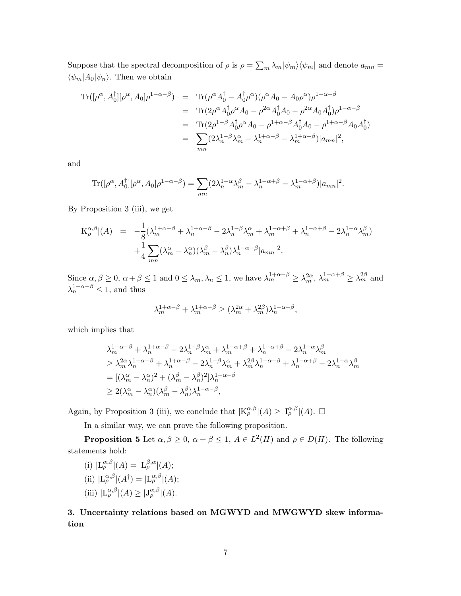Suppose that the spectral decomposition of  $\rho$  is  $\rho = \sum_m \lambda_m |\psi_m\rangle \langle \psi_m|$  and denote  $a_{mn} =$  $\langle \psi_m | A_0 | \psi_n \rangle$ . Then we obtain

$$
\begin{split} \text{Tr}([\rho^{\alpha}, A_0^{\dagger}][\rho^{\alpha}, A_0] \rho^{1-\alpha-\beta}) &= \text{Tr}(\rho^{\alpha} A_0^{\dagger} - A_0^{\dagger} \rho^{\alpha})(\rho^{\alpha} A_0 - A_0 \rho^{\alpha}) \rho^{1-\alpha-\beta} \\ &= \text{Tr}(2\rho^{\alpha} A_0^{\dagger} \rho^{\alpha} A_0 - \rho^{2\alpha} A_0^{\dagger} A_0 - \rho^{2\alpha} A_0 A_0^{\dagger}) \rho^{1-\alpha-\beta} \\ &= \text{Tr}(2\rho^{1-\beta} A_0^{\dagger} \rho^{\alpha} A_0 - \rho^{1+\alpha-\beta} A_0^{\dagger} A_0 - \rho^{1+\alpha-\beta} A_0 A_0^{\dagger}) \\ &= \sum_{mn} (2\lambda_n^{1-\beta} \lambda_m^{\alpha} - \lambda_n^{1+\alpha-\beta} - \lambda_m^{1+\alpha-\beta}) |a_{mn}|^2, \end{split}
$$

and

$$
\text{Tr}([\rho^{\alpha}, A_0^{\dagger}][\rho^{\alpha}, A_0]\rho^{1-\alpha-\beta}) = \sum_{mn} (2\lambda_n^{1-\alpha}\lambda_m^{\beta} - \lambda_n^{1-\alpha+\beta} - \lambda_m^{1-\alpha+\beta})|a_{mn}|^2.
$$

By Proposition 3 (iii), we get

$$
|K_{\rho}^{\alpha,\beta}|(A) = -\frac{1}{8}(\lambda_m^{1+\alpha-\beta} + \lambda_n^{1+\alpha-\beta} - 2\lambda_n^{1-\beta}\lambda_m^{\alpha} + \lambda_m^{1-\alpha+\beta} + \lambda_n^{1-\alpha+\beta} - 2\lambda_n^{1-\alpha}\lambda_m^{\beta})
$$
  
 
$$
+ \frac{1}{4} \sum_{mn} (\lambda_m^{\alpha} - \lambda_n^{\alpha})(\lambda_m^{\beta} - \lambda_n^{\beta})\lambda_n^{1-\alpha-\beta}|a_{mn}|^2.
$$

Since  $\alpha, \beta \ge 0$ ,  $\alpha + \beta \le 1$  and  $0 \le \lambda_m, \lambda_n \le 1$ , we have  $\lambda_m^{1+\alpha-\beta} \ge \lambda_m^{2\alpha}$ ,  $\lambda_m^{1-\alpha+\beta} \ge \lambda_m^{2\beta}$  and  $\lambda_n^{1-\alpha-\beta} \leq 1$ , and thus

$$
\lambda_m^{1+\alpha-\beta}+\lambda_m^{1+\alpha-\beta}\geq (\lambda_m^{2\alpha}+\lambda_m^{2\beta})\lambda_n^{1-\alpha-\beta},
$$

which implies that

$$
\begin{split} &\lambda_{m}^{1+\alpha-\beta}+\lambda_{n}^{1+\alpha-\beta}-2\lambda_{n}^{1-\beta}\lambda_{m}^{\alpha}+\lambda_{m}^{1-\alpha+\beta}+\lambda_{n}^{1-\alpha+\beta}-2\lambda_{n}^{1-\alpha}\lambda_{m}^{\beta}\\ &\geq\lambda_{m}^{2\alpha}\lambda_{n}^{1-\alpha-\beta}+\lambda_{n}^{1+\alpha-\beta}-2\lambda_{n}^{1-\beta}\lambda_{m}^{\alpha}+\lambda_{m}^{2\beta}\lambda_{n}^{1-\alpha-\beta}+\lambda_{n}^{1-\alpha+\beta}-2\lambda_{n}^{1-\alpha}\lambda_{m}^{\beta}\\ &=[(\lambda_{m}^{\alpha}-\lambda_{n}^{\alpha})^{2}+(\lambda_{m}^{\beta}-\lambda_{n}^{\beta})^{2}]\lambda_{n}^{1-\alpha-\beta}\\ &\geq2(\lambda_{m}^{\alpha}-\lambda_{n}^{\alpha})(\lambda_{m}^{\beta}-\lambda_{n}^{\beta})\lambda_{n}^{1-\alpha-\beta}, \end{split}
$$

Again, by Proposition 3 (iii), we conclude that  $|K_{\rho}^{\alpha,\beta}|(A) \geq |I_{\rho}^{\alpha,\beta}|(A)$ .  $\Box$ 

In a similar way, we can prove the following proposition.

**Proposition 5** Let  $\alpha, \beta \geq 0$ ,  $\alpha + \beta \leq 1$ ,  $A \in L^2(H)$  and  $\rho \in D(H)$ . The following statements hold:

(i) 
$$
|L_{\rho}^{\alpha,\beta}|(A) = |L_{\rho}^{\beta,\alpha}|(A);
$$
  
\n(ii)  $|L_{\rho}^{\alpha,\beta}|(A^{\dagger}) = |L_{\rho}^{\alpha,\beta}|(A);$   
\n(iii)  $|L_{\rho}^{\alpha,\beta}|(A) \ge |J_{\rho}^{\alpha,\beta}|(A).$ 

3. Uncertainty relations based on MGWYD and MWGWYD skew information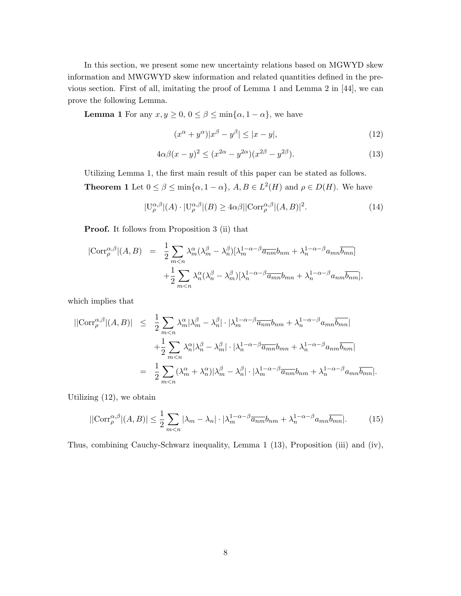In this section, we present some new uncertainty relations based on MGWYD skew information and MWGWYD skew information and related quantities defined in the previous section. First of all, imitating the proof of Lemma 1 and Lemma 2 in [\[44\]](#page-17-12), we can prove the following Lemma.

**Lemma 1** For any  $x, y \ge 0, 0 \le \beta \le \min\{\alpha, 1 - \alpha\}$ , we have

<span id="page-9-0"></span>
$$
(x^{\alpha} + y^{\alpha})|x^{\beta} - y^{\beta}| \le |x - y|,\tag{12}
$$

<span id="page-9-1"></span>
$$
4\alpha\beta(x-y)^2 \le (x^{2\alpha} - y^{2\alpha})(x^{2\beta} - y^{2\beta}).\tag{13}
$$

Utilizing Lemma 1, the first main result of this paper can be stated as follows. **Theorem 1** Let  $0 \le \beta \le \min\{\alpha, 1-\alpha\}$ ,  $A, B \in L^2(H)$  and  $\rho \in D(H)$ . We have

<span id="page-9-3"></span>
$$
|\mathcal{U}_{\rho}^{\alpha,\beta}|(A) \cdot |\mathcal{U}_{\rho}^{\alpha,\beta}|(B) \ge 4\alpha\beta ||\text{Corr}_{\rho}^{\alpha,\beta}|(A,B)|^2. \tag{14}
$$

Proof. It follows from Proposition 3 (ii) that

$$
|\text{Corr}_{\rho}^{\alpha,\beta}|(A,B) = \frac{1}{2} \sum_{m < n} \lambda_m^{\alpha} (\lambda_m^{\beta} - \lambda_n^{\beta}) [\lambda_m^{1-\alpha-\beta} \overline{a_{nm}} b_{nm} + \lambda_n^{1-\alpha-\beta} a_{mn} \overline{b_{mn}}] + \frac{1}{2} \sum_{m < n} \lambda_n^{\alpha} (\lambda_n^{\beta} - \lambda_m^{\beta}) [\lambda_n^{1-\alpha-\beta} \overline{a_{mn}} b_{mn} + \lambda_n^{1-\alpha-\beta} a_{nm} \overline{b_{nm}}],
$$

which implies that

$$
\begin{split} \left| |\text{Corr}_{\rho}^{\alpha,\beta}|(A,B) \right| &\leq \frac{1}{2} \sum_{m < n} \lambda_m^{\alpha} |\lambda_m^{\beta} - \lambda_n^{\beta}| \cdot |\lambda_m^{1-\alpha-\beta} \overline{a_{nm}} b_{nm} + \lambda_n^{1-\alpha-\beta} a_{mn} \overline{b_{mn}}| \\ &+ \frac{1}{2} \sum_{m < n} \lambda_n^{\alpha} |\lambda_n^{\beta} - \lambda_m^{\beta}| \cdot |\lambda_n^{1-\alpha-\beta} \overline{a_{mn}} b_{mn} + \lambda_n^{1-\alpha-\beta} a_{nm} \overline{b_{nm}}| \\ &= \frac{1}{2} \sum_{m < n} (\lambda_m^{\alpha} + \lambda_n^{\alpha}) |\lambda_m^{\beta} - \lambda_n^{\beta}| \cdot |\lambda_m^{1-\alpha-\beta} \overline{a_{nm}} b_{nm} + \lambda_n^{1-\alpha-\beta} a_{mn} \overline{b_{mn}}|. \end{split}
$$

Utilizing [\(12\)](#page-9-0), we obtain

<span id="page-9-2"></span>
$$
||\text{Corr}_{\rho}^{\alpha,\beta}|(A,B)| \leq \frac{1}{2} \sum_{m < n} |\lambda_m - \lambda_n| \cdot |\lambda_m^{1-\alpha-\beta} \overline{a_{nm}} b_{nm} + \lambda_n^{1-\alpha-\beta} a_{mn} \overline{b_{mn}}|.
$$
\n(15)

Thus, combining Cauchy-Schwarz inequality, Lemma 1 [\(13\)](#page-9-1), Proposition (iii) and (iv),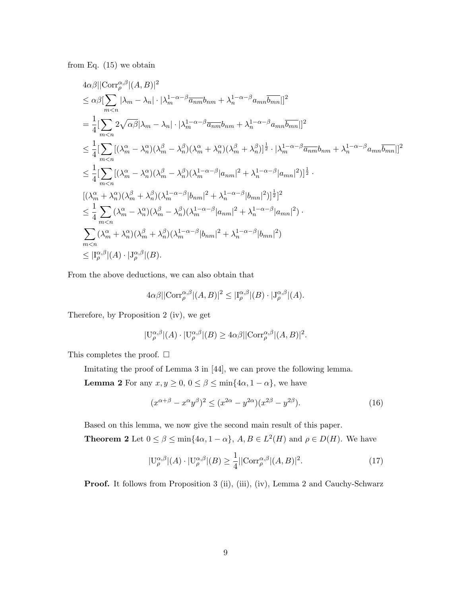from Eq.  $(15)$  we obtain

$$
4\alpha\beta||\text{Corr}_{\rho}^{\alpha,\beta}|(A,B)|^{2}
$$
\n
$$
\leq \alpha\beta\left[\sum_{m\n
$$
=\frac{1}{4}\left[\sum_{m\n
$$
\leq \frac{1}{4}\left[\sum_{m\n
$$
\leq \frac{1}{4}\left[\sum_{m\n
$$
[(\lambda_{m}^{\alpha}+\lambda_{n}^{\alpha})(\lambda_{m}^{\beta}+\lambda_{n}^{\beta})(\lambda_{m}^{1-\alpha-\beta}|b_{mn}|^{2}+\lambda_{n}^{1-\alpha-\beta}|b_{mn}|^{2})]^{\frac{1}{2}}]^{2}
$$
\n
$$
\leq \frac{1}{4}\sum_{m\n
$$
\sum_{m
$$
$$
$$
$$
$$
$$

From the above deductions, we can also obtain that

$$
4\alpha\beta ||\text{Corr}_{\rho}^{\alpha,\beta}|(A,B)|^2 \leq |I_{\rho}^{\alpha,\beta}|(B) \cdot |J_{\rho}^{\alpha,\beta}|(A).
$$

Therefore, by Proposition 2 (iv), we get

$$
|\mathcal{U}_{\rho}^{\alpha,\beta}|(A)\cdot|\mathcal{U}_{\rho}^{\alpha,\beta}|(B)\geq 4\alpha\beta||\text{Corr}_{\rho}^{\alpha,\beta}|(A,B)|^2.
$$

This completes the proof.  $\square$ 

Imitating the proof of Lemma 3 in [\[44\]](#page-17-12), we can prove the following lemma.

**Lemma 2** For any  $x, y \ge 0, 0 \le \beta \le \min\{4\alpha, 1 - \alpha\}$ , we have

$$
(x^{\alpha+\beta} - x^{\alpha}y^{\beta})^2 \le (x^{2\alpha} - y^{2\alpha})(x^{2\beta} - y^{2\beta}).
$$
\n(16)

Based on this lemma, we now give the second main result of this paper.

**Theorem 2** Let  $0 \le \beta \le \min\{4\alpha, 1-\alpha\}, A, B \in L^2(H)$  and  $\rho \in D(H)$ . We have

<span id="page-10-0"></span>
$$
|\mathcal{U}_{\rho}^{\alpha,\beta}|(A) \cdot |\mathcal{U}_{\rho}^{\alpha,\beta}|(B) \ge \frac{1}{4} ||\text{Corr}_{\rho}^{\alpha,\beta}|(A,B)|^2. \tag{17}
$$

Proof. It follows from Proposition 3 (ii), (iii), (iv), Lemma 2 and Cauchy-Schwarz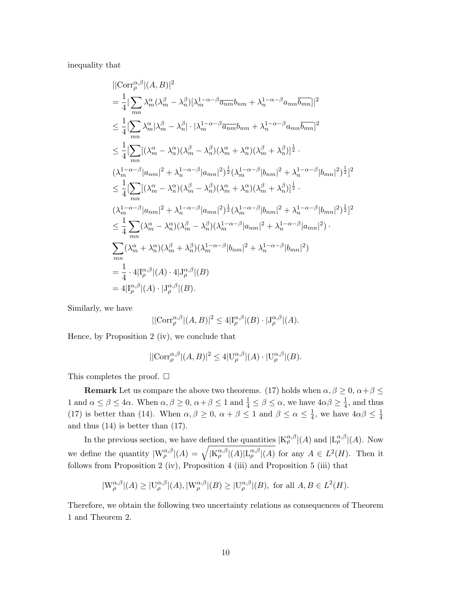inequality that

$$
\begin{split}\n&\vert\vert\mathrm{Corr}_{\rho}^{\alpha,\beta}\vert(A,B)\vert^{2} \\
&= \frac{1}{4}\vert\sum_{mn}\lambda_{m}^{\alpha}(\lambda_{m}^{\beta}-\lambda_{n}^{\beta})[\lambda_{m}^{1-\alpha-\beta}\overline{a_{nm}}b_{nm}+\lambda_{n}^{1-\alpha-\beta}a_{mn}\overline{b_{mn}}]\vert^{2} \\
&\leq \frac{1}{4}\vert\sum_{mn}\lambda_{m}^{\alpha}\vert\lambda_{m}^{\beta}-\lambda_{n}^{\beta}\vert\cdot\vert\lambda_{m}^{1-\alpha-\beta}\overline{a_{nm}}b_{nm}+\lambda_{n}^{1-\alpha-\beta}a_{mn}\overline{b_{mn}}\vert^{2} \\
&\leq \frac{1}{4}\vert\sum_{mn}[(\lambda_{m}^{\alpha}-\lambda_{n}^{\alpha})(\lambda_{m}^{\beta}-\lambda_{n}^{\beta})(\lambda_{m}^{\alpha}+\lambda_{n}^{\alpha})(\lambda_{m}^{\beta}+\lambda_{n}^{\beta})]^{\frac{1}{2}}. \\
&(\lambda_{m}^{1-\alpha-\beta}\vert a_{nm}\vert^{2}+\lambda_{n}^{1-\alpha-\beta}\vert a_{mn}\vert^{2})^{\frac{1}{2}}(\lambda_{m}^{1-\alpha-\beta}\vert b_{nm}\vert^{2}+\lambda_{n}^{1-\alpha-\beta}\vert b_{mn}\vert^{2})^{\frac{1}{2}}\vert^{2} \\
&\leq \frac{1}{4}\vert\sum_{mn}[(\lambda_{m}^{\alpha}-\lambda_{n}^{\alpha})(\lambda_{m}^{\beta}-\lambda_{n}^{\beta})(\lambda_{m}^{\alpha}+\lambda_{n}^{\alpha})(\lambda_{m}^{\beta}+\lambda_{n}^{\beta})]^{\frac{1}{2}}. \\
&(\lambda_{m}^{1-\alpha-\beta}\vert a_{nm}\vert^{2}+\lambda_{n}^{1-\alpha-\beta}\vert a_{mn}\vert^{2})^{\frac{1}{2}}(\lambda_{m}^{1-\alpha-\beta}\vert b_{nm}\vert^{2}+\lambda_{n}^{1-\alpha-\beta}\vert b_{mn}\vert^{2})^{\frac{1}{2}}\vert^{2} \\
&\leq \frac{1}{4}\sum_{mn}(\lambda_{m}^{\alpha}-\lambda_{n}^{\alpha})(\lambda_{m}^{\beta}-\lambda_{n}^{\beta})(\lambda_{m}^{1-\alpha-\beta}\vert a_{nm}\vert^{2}+\lambda_{n}^{1-\alpha-\beta}\vert a_{mn}\vert^{2}).\n\end{split}
$$

Similarly, we have

$$
||{\rm Corr}_{\rho}^{\alpha,\beta}|(A,B)|^2\leq 4|\mathcal{I}_{\rho}^{\alpha,\beta}|(B)\cdot |\mathcal{J}_{\rho}^{\alpha,\beta}|(A).
$$

Hence, by Proposition 2 (iv), we conclude that

$$
||\text{Corr}_{\rho}^{\alpha,\beta}|(A,B)|^2 \le 4|\text{U}_{\rho}^{\alpha,\beta}|(A)\cdot|\text{U}_{\rho}^{\alpha,\beta}|(B).
$$

This completes the proof.  $\square$ 

**Remark** Let us compare the above two theorems. [\(17\)](#page-10-0) holds when  $\alpha, \beta \geq 0, \alpha + \beta \leq 1$ 1 and  $\alpha \le \beta \le 4\alpha$ . When  $\alpha, \beta \ge 0$ ,  $\alpha + \beta \le 1$  and  $\frac{1}{4} \le \beta \le \alpha$ , we have  $4\alpha\beta \ge \frac{1}{4}$  $\frac{1}{4}$ , and thus [\(17\)](#page-10-0) is better than [\(14\)](#page-9-3). When  $\alpha, \beta \geq 0$ ,  $\alpha + \beta \leq 1$  and  $\beta \leq \alpha \leq \frac{1}{4}$  $\frac{1}{4}$ , we have  $4\alpha\beta \leq \frac{1}{4}$ 4 and thus  $(14)$  is better than  $(17)$ .

In the previous section, we have defined the quantities  $|K^{\alpha,\beta}_{\rho}|(A)$  and  $|L^{\alpha,\beta}_{\rho}|(A)$ . Now we define the quantity  $|W_{\rho}^{\alpha,\beta}|(A) = \sqrt{|K_{\rho}^{\alpha,\beta}|(A)|L_{\rho}^{\alpha,\beta}|(A)}$  for any  $A \in L^2(H)$ . Then it follows from Proposition 2 (iv), Proposition 4 (iii) and Proposition 5 (iii) that

$$
|W_{\rho}^{\alpha,\beta}|(A) \geq |U_{\rho}^{\alpha,\beta}|(A), |W_{\rho}^{\alpha,\beta}|(B) \geq |U_{\rho}^{\alpha,\beta}|(B), \text{ for all } A, B \in L^{2}(H).
$$

Therefore, we obtain the following two uncertainty relations as consequences of Theorem 1 and Theorem 2.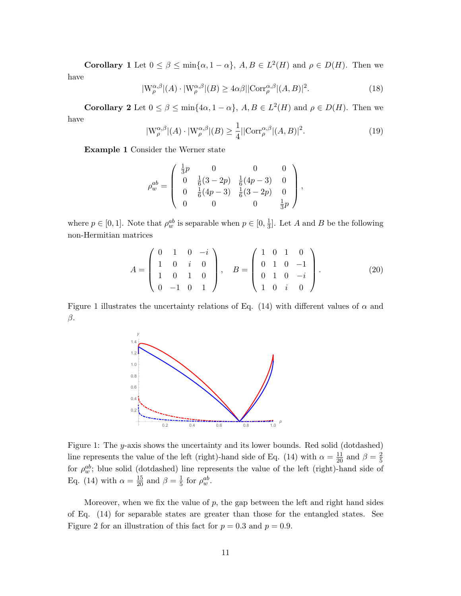**Corollary** 1 Let  $0 \le \beta \le \min\{\alpha, 1-\alpha\}, A, B \in L^2(H)$  and  $\rho \in D(H)$ . Then we have

$$
|W_{\rho}^{\alpha,\beta}|(A) \cdot |W_{\rho}^{\alpha,\beta}|(B) \ge 4\alpha\beta ||\text{Corr}_{\rho}^{\alpha,\beta}|(A,B)|^2. \tag{18}
$$

**Corollary 2** Let  $0 \le \beta \le \min\{4\alpha, 1-\alpha\}, A, B \in L^2(H)$  and  $\rho \in D(H)$ . Then we have

$$
|\mathcal{W}_{\rho}^{\alpha,\beta}|(A) \cdot |\mathcal{W}_{\rho}^{\alpha,\beta}|(B) \ge \frac{1}{4} ||\text{Corr}_{\rho}^{\alpha,\beta}|(A,B)|^2. \tag{19}
$$

Example 1 Consider the Werner state

$$
\rho_w^{ab} = \left( \begin{array}{cccc} \frac{1}{3}p & 0 & 0 & 0 \\ 0 & \frac{1}{6}(3-2p) & \frac{1}{6}(4p-3) & 0 \\ 0 & \frac{1}{6}(4p-3) & \frac{1}{6}(3-2p) & 0 \\ 0 & 0 & 0 & \frac{1}{3}p \end{array} \right),
$$

where  $p \in [0, 1]$ . Note that  $\rho_w^{ab}$  is separable when  $p \in [0, \frac{1}{3}]$  $\frac{1}{3}$ . Let A and B be the following non-Hermitian matrices

<span id="page-12-0"></span>
$$
A = \begin{pmatrix} 0 & 1 & 0 & -i \\ 1 & 0 & i & 0 \\ 1 & 0 & 1 & 0 \\ 0 & -1 & 0 & 1 \end{pmatrix}, \quad B = \begin{pmatrix} 1 & 0 & 1 & 0 \\ 0 & 1 & 0 & -1 \\ 0 & 1 & 0 & -i \\ 1 & 0 & i & 0 \end{pmatrix}.
$$
 (20)

Figure 1 illustrates the uncertainty relations of Eq. [\(14\)](#page-9-3) with different values of  $\alpha$  and  $\beta$ .



Figure 1: The y-axis shows the uncertainty and its lower bounds. Red solid (dotdashed) line represents the value of the left (right)-hand side of Eq. [\(14\)](#page-9-3) with  $\alpha = \frac{11}{20}$  and  $\beta = \frac{2}{5}$ 5 for  $\rho_w^{ab}$ ; blue solid (dotdashed) line represents the value of the left (right)-hand side of Eq. [\(14\)](#page-9-3) with  $\alpha = \frac{15}{20}$  and  $\beta = \frac{1}{5}$  $rac{1}{5}$  for  $\rho_w^{ab}$ .

Moreover, when we fix the value of  $p$ , the gap between the left and right hand sides of Eq. [\(14\)](#page-9-3) for separable states are greater than those for the entangled states. See Figure 2 for an illustration of this fact for  $p = 0.3$  and  $p = 0.9$ .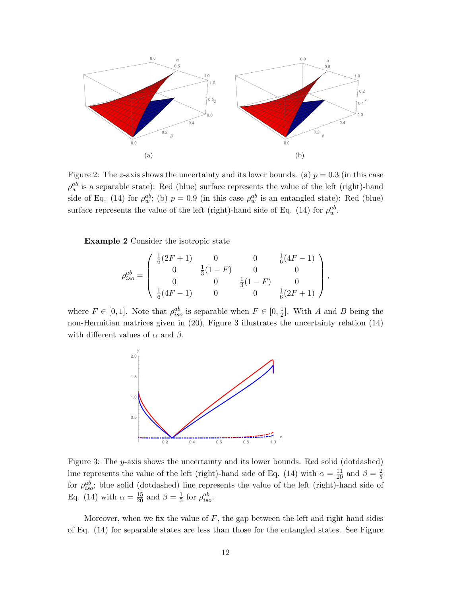

Figure 2: The *z*-axis shows the uncertainty and its lower bounds. (a)  $p = 0.3$  (in this case  $\rho_w^{ab}$  is a separable state): Red (blue) surface represents the value of the left (right)-hand side of Eq. [\(14\)](#page-9-3) for  $\rho_w^{ab}$ ; (b)  $p = 0.9$  (in this case  $\rho_w^{ab}$  is an entangled state): Red (blue) surface represents the value of the left (right)-hand side of Eq. [\(14\)](#page-9-3) for  $\rho_w^{ab}$ .

Example 2 Consider the isotropic state

$$
\rho_{iso}^{ab} = \begin{pmatrix} \frac{1}{6}(2F+1) & 0 & 0 & \frac{1}{6}(4F-1) \\ 0 & \frac{1}{3}(1-F) & 0 & 0 \\ 0 & 0 & \frac{1}{3}(1-F) & 0 \\ \frac{1}{6}(4F-1) & 0 & 0 & \frac{1}{6}(2F+1) \end{pmatrix},
$$

where  $F \in [0, 1]$ . Note that  $\rho_{iso}^{ab}$  is separable when  $F \in [0, \frac{1}{2}]$  $\frac{1}{2}$ . With A and B being the non-Hermitian matrices given in [\(20\)](#page-12-0), Figure 3 illustrates the uncertainty relation [\(14\)](#page-9-3) with different values of  $\alpha$  and  $\beta$ .



Figure 3: The y-axis shows the uncertainty and its lower bounds. Red solid (dotdashed) line represents the value of the left (right)-hand side of Eq. [\(14\)](#page-9-3) with  $\alpha = \frac{11}{20}$  and  $\beta = \frac{2}{5}$ 5 for  $\rho_{iso}^{ab}$ ; blue solid (dotdashed) line represents the value of the left (right)-hand side of Eq. [\(14\)](#page-9-3) with  $\alpha = \frac{15}{20}$  and  $\beta = \frac{1}{5}$  $rac{1}{5}$  for  $\rho_{iso}^{ab}$ .

Moreover, when we fix the value of  $F$ , the gap between the left and right hand sides of Eq. [\(14\)](#page-9-3) for separable states are less than those for the entangled states. See Figure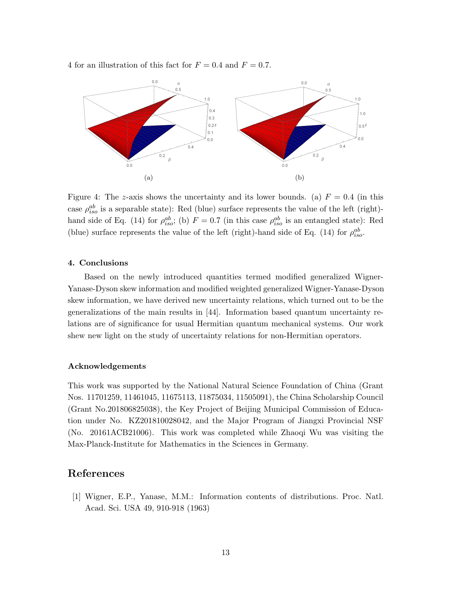4 for an illustration of this fact for  $F = 0.4$  and  $F = 0.7$ .



Figure 4: The z-axis shows the uncertainty and its lower bounds. (a)  $F = 0.4$  (in this case  $\rho_{iso}^{ab}$  is a separable state): Red (blue) surface represents the value of the left (right)-hand side of Eq. [\(14\)](#page-9-3) for  $\rho_{iso}^{ab}$ ; (b)  $F = 0.7$  (in this case  $\rho_{iso}^{ab}$  is an entangled state): Red (blue) surface represents the value of the left (right)-hand side of Eq. [\(14\)](#page-9-3) for  $\rho_{iso}^{ab}$ .

#### 4. Conclusions

Based on the newly introduced quantities termed modified generalized Wigner-Yanase-Dyson skew information and modified weighted generalized Wigner-Yanase-Dyson skew information, we have derived new uncertainty relations, which turned out to be the generalizations of the main results in [\[44\]](#page-17-12). Information based quantum uncertainty relations are of significance for usual Hermitian quantum mechanical systems. Our work shew new light on the study of uncertainty relations for non-Hermitian operators.

#### Acknowledgements

This work was supported by the National Natural Science Foundation of China (Grant Nos. 11701259, 11461045, 11675113, 11875034, 11505091), the China Scholarship Council (Grant No.201806825038), the Key Project of Beijing Municipal Commission of Education under No. KZ201810028042, and the Major Program of Jiangxi Provincial NSF (No. 20161ACB21006). This work was completed while Zhaoqi Wu was visiting the Max-Planck-Institute for Mathematics in the Sciences in Germany.

#### References

<span id="page-14-0"></span>[1] Wigner, E.P., Yanase, M.M.: Information contents of distributions. Proc. Natl. Acad. Sci. USA 49, 910-918 (1963)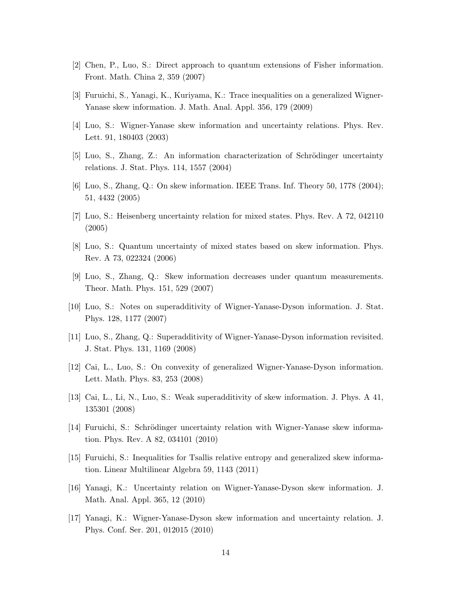- <span id="page-15-0"></span>[2] Chen, P., Luo, S.: Direct approach to quantum extensions of Fisher information. Front. Math. China 2, 359 (2007)
- <span id="page-15-1"></span>[3] Furuichi, S., Yanagi, K., Kuriyama, K.: Trace inequalities on a generalized Wigner-Yanase skew information. J. Math. Anal. Appl. 356, 179 (2009)
- <span id="page-15-2"></span>[4] Luo, S.: Wigner-Yanase skew information and uncertainty relations. Phys. Rev. Lett. 91, 180403 (2003)
- $[5]$  Luo, S., Zhang, Z.: An information characterization of Schrödinger uncertainty relations. J. Stat. Phys. 114, 1557 (2004)
- [6] Luo, S., Zhang, Q.: On skew information. IEEE Trans. Inf. Theory 50, 1778 (2004); 51, 4432 (2005)
- [7] Luo, S.: Heisenberg uncertainty relation for mixed states. Phys. Rev. A 72, 042110 (2005)
- [8] Luo, S.: Quantum uncertainty of mixed states based on skew information. Phys. Rev. A 73, 022324 (2006)
- [9] Luo, S., Zhang, Q.: Skew information decreases under quantum measurements. Theor. Math. Phys. 151, 529 (2007)
- [10] Luo, S.: Notes on superadditivity of Wigner-Yanase-Dyson information. J. Stat. Phys. 128, 1177 (2007)
- [11] Luo, S., Zhang, Q.: Superadditivity of Wigner-Yanase-Dyson information revisited. J. Stat. Phys. 131, 1169 (2008)
- [12] Cai, L., Luo, S.: On convexity of generalized Wigner-Yanase-Dyson information. Lett. Math. Phys. 83, 253 (2008)
- [13] Cai, L., Li, N., Luo, S.: Weak superadditivity of skew information. J. Phys. A 41, 135301 (2008)
- [14] Furuichi, S.: Schrödinger uncertainty relation with Wigner-Yanase skew information. Phys. Rev. A 82, 034101 (2010)
- [15] Furuichi, S.: Inequalities for Tsallis relative entropy and generalized skew information. Linear Multilinear Algebra 59, 1143 (2011)
- [16] Yanagi, K.: Uncertainty relation on Wigner-Yanase-Dyson skew information. J. Math. Anal. Appl. 365, 12 (2010)
- [17] Yanagi, K.: Wigner-Yanase-Dyson skew information and uncertainty relation. J. Phys. Conf. Ser. 201, 012015 (2010)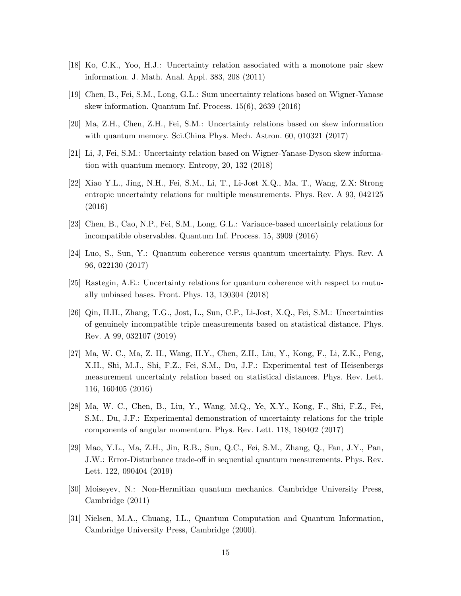- [18] Ko, C.K., Yoo, H.J.: Uncertainty relation associated with a monotone pair skew information. J. Math. Anal. Appl. 383, 208 (2011)
- <span id="page-16-0"></span>[19] Chen, B., Fei, S.M., Long, G.L.: Sum uncertainty relations based on Wigner-Yanase skew information. Quantum Inf. Process. 15(6), 2639 (2016)
- <span id="page-16-1"></span>[20] Ma, Z.H., Chen, Z.H., Fei, S.M.: Uncertainty relations based on skew information with quantum memory. Sci.China Phys. Mech. Astron. 60, 010321 (2017)
- <span id="page-16-2"></span>[21] Li, J, Fei, S.M.: Uncertainty relation based on Wigner-Yanase-Dyson skew information with quantum memory. Entropy, 20, 132 (2018)
- [22] Xiao Y.L., Jing, N.H., Fei, S.M., Li, T., Li-Jost X.Q., Ma, T., Wang, Z.X: Strong entropic uncertainty relations for multiple measurements. Phys. Rev. A 93, 042125 (2016)
- [23] Chen, B., Cao, N.P., Fei, S.M., Long, G.L.: Variance-based uncertainty relations for incompatible observables. Quantum Inf. Process. 15, 3909 (2016)
- [24] Luo, S., Sun, Y.: Quantum coherence versus quantum uncertainty. Phys. Rev. A 96, 022130 (2017)
- [25] Rastegin, A.E.: Uncertainty relations for quantum coherence with respect to mutually unbiased bases. Front. Phys. 13, 130304 (2018)
- [26] Qin, H.H., Zhang, T.G., Jost, L., Sun, C.P., Li-Jost, X.Q., Fei, S.M.: Uncertainties of genuinely incompatible triple measurements based on statistical distance. Phys. Rev. A 99, 032107 (2019)
- [27] Ma, W. C., Ma, Z. H., Wang, H.Y., Chen, Z.H., Liu, Y., Kong, F., Li, Z.K., Peng, X.H., Shi, M.J., Shi, F.Z., Fei, S.M., Du, J.F.: Experimental test of Heisenbergs measurement uncertainty relation based on statistical distances. Phys. Rev. Lett. 116, 160405 (2016)
- [28] Ma, W. C., Chen, B., Liu, Y., Wang, M.Q., Ye, X.Y., Kong, F., Shi, F.Z., Fei, S.M., Du, J.F.: Experimental demonstration of uncertainty relations for the triple components of angular momentum. Phys. Rev. Lett. 118, 180402 (2017)
- [29] Mao, Y.L., Ma, Z.H., Jin, R.B., Sun, Q.C., Fei, S.M., Zhang, Q., Fan, J.Y., Pan, J.W.: Error-Disturbance trade-off in sequential quantum measurements. Phys. Rev. Lett. 122, 090404 (2019)
- <span id="page-16-3"></span>[30] Moiseyev, N.: Non-Hermitian quantum mechanics. Cambridge University Press, Cambridge (2011)
- <span id="page-16-4"></span>[31] Nielsen, M.A., Chuang, I.L., Quantum Computation and Quantum Information, Cambridge University Press, Cambridge (2000).